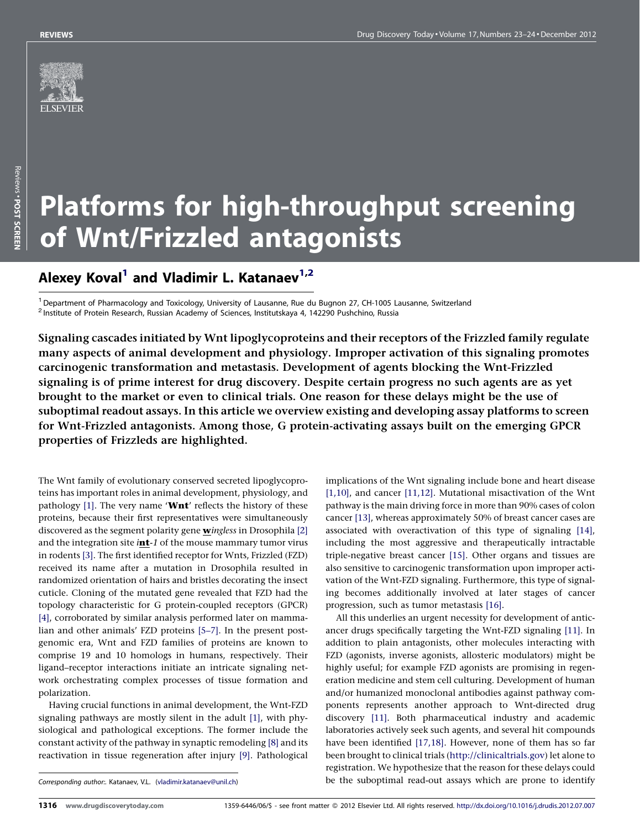

# Platforms for high-throughput screening of Wnt/Frizzled antagonists

# Alexey Koval<sup>1</sup> and Vladimir L. Katanaev<sup>1,2</sup>

<sup>1</sup> Department of Pharmacology and Toxicology, University of Lausanne, Rue du Bugnon 27, CH-1005 Lausanne, Switzerland<br><sup>2</sup> Institute of Protein Research, Russian Academy of Sciences, Institutskaya 4, 142290 Pushchino, Rus

Signaling cascades initiated by Wnt lipoglycoproteins and their receptors of the Frizzled family regulate many aspects of animal development and physiology. Improper activation of this signaling promotes carcinogenic transformation and metastasis. Development of agents blocking the Wnt-Frizzled signaling is of prime interest for drug discovery. Despite certain progress no such agents are as yet brought to the market or even to clinical trials. One reason for these delays might be the use of suboptimal readout assays. In this article we overview existing and developing assay platforms to screen for Wnt-Frizzled antagonists. Among those, G protein-activating assays built on the emerging GPCR properties of Frizzleds are highlighted.

The Wnt family of evolutionary conserved secreted lipoglycoproteins has important roles in animal development, physiology, and pathology  $[1]$ . The very name 'Wnt' reflects the history of these proteins, because their first representatives were simultaneously discovered as the segment polarity gene wingless in Drosophila [\[2\]](#page-5-0) and the integration site  $int-1$  of the mouse mammary tumor virus in rodents [\[3\]](#page-5-0). The first identified receptor for Wnts, Frizzled (FZD) received its name after a mutation in Drosophila resulted in randomized orientation of hairs and bristles decorating the insect cuticle. Cloning of the mutated gene revealed that FZD had the topology characteristic for G protein-coupled receptors (GPCR) [\[4\]](#page-5-0), corroborated by similar analysis performed later on mammalian and other animals' FZD proteins [\[5–7\]](#page-5-0). In the present postgenomic era, Wnt and FZD families of proteins are known to comprise 19 and 10 homologs in humans, respectively. Their ligand–receptor interactions initiate an intricate signaling network orchestrating complex processes of tissue formation and polarization.

Having crucial functions in animal development, the Wnt-FZD signaling pathways are mostly silent in the adult [\[1\]](#page-5-0), with physiological and pathological exceptions. The former include the constant activity of the pathway in synaptic remodeling [\[8\]](#page-5-0) and its reactivation in tissue regeneration after injury [\[9\].](#page-5-0) Pathological

implications of the Wnt signaling include bone and heart disease [\[1,10\]](#page-5-0), and cancer [\[11,12\].](#page-5-0) Mutational misactivation of the Wnt pathway is the main driving force in more than 90% cases of colon cancer [\[13\]](#page-5-0), whereas approximately 50% of breast cancer cases are associated with overactivation of this type of signaling [\[14\]](#page-5-0), including the most aggressive and therapeutically intractable triple-negative breast cancer [\[15\].](#page-5-0) Other organs and tissues are also sensitive to carcinogenic transformation upon improper activation of the Wnt-FZD signaling. Furthermore, this type of signaling becomes additionally involved at later stages of cancer progression, such as tumor metastasis [\[16\]](#page-5-0).

All this underlies an urgent necessity for development of anticancer drugs specifically targeting the Wnt-FZD signaling [\[11\].](#page-5-0) In addition to plain antagonists, other molecules interacting with FZD (agonists, inverse agonists, allosteric modulators) might be highly useful; for example FZD agonists are promising in regeneration medicine and stem cell culturing. Development of human and/or humanized monoclonal antibodies against pathway components represents another approach to Wnt-directed drug discovery [\[11\].](#page-5-0) Both pharmaceutical industry and academic laboratories actively seek such agents, and several hit compounds have been identified [\[17,18\]](#page-5-0). However, none of them has so far been brought to clinical trials ([http://clinicaltrials.gov\)](http://clinicaltrials.gov/) let alone to registration. We hypothesize that the reason for these delays could be the suboptimal read-out assays which are prone to identify

Corresponding author:. Katanaev, V.L. ([vladimir.katanaev@unil.ch\)](mailto:vladimir.katanaev@unil.ch)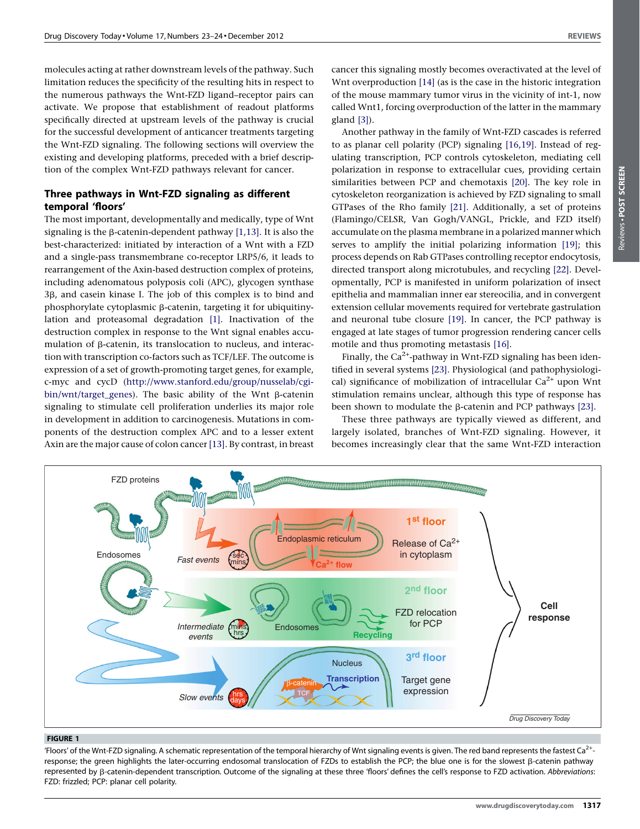<span id="page-1-0"></span>molecules acting at rather downstream levels of the pathway. Such limitation reduces the specificity of the resulting hits in respect to the numerous pathways the Wnt-FZD ligand–receptor pairs can activate. We propose that establishment of readout platforms specifically directed at upstream levels of the pathway is crucial for the successful development of anticancer treatments targeting the Wnt-FZD signaling. The following sections will overview the existing and developing platforms, preceded with a brief description of the complex Wnt-FZD pathways relevant for cancer.

## Three pathways in Wnt-FZD signaling as different temporal 'floors'

The most important, developmentally and medically, type of Wnt signaling is the B-catenin-dependent pathway [\[1,13\]](#page-5-0). It is also the best-characterized: initiated by interaction of a Wnt with a FZD and a single-pass transmembrane co-receptor LRP5/6, it leads to rearrangement of the Axin-based destruction complex of proteins, including adenomatous polyposis coli (APC), glycogen synthase 3β, and casein kinase I. The job of this complex is to bind and phosphorylate cytoplasmic β-catenin, targeting it for ubiquitinylation and proteasomal degradation [\[1\]](#page-5-0). Inactivation of the destruction complex in response to the Wnt signal enables accumulation of  $\beta$ -catenin, its translocation to nucleus, and interaction with transcription co-factors such as TCF/LEF. The outcome is expression of a set of growth-promoting target genes, for example, c-myc and cycD [\(http://www.stanford.edu/group/nusselab/cgi](http://www.stanford.edu/group/nusselab/cgi-bin/wnt/target_genes) $bin/$ wnt/target\_genes). The basic ability of the Wnt  $\beta$ -catenin signaling to stimulate cell proliferation underlies its major role in development in addition to carcinogenesis. Mutations in components of the destruction complex APC and to a lesser extent Axin are the major cause of colon cancer [\[13\]](#page-5-0). By contrast, in breast cancer this signaling mostly becomes overactivated at the level of Wnt overproduction [\[14\]](#page-5-0) (as is the case in the historic integration of the mouse mammary tumor virus in the vicinity of int-1, now called Wnt1, forcing overproduction of the latter in the mammary gland [\[3\]](#page-5-0)).

Another pathway in the family of Wnt-FZD cascades is referred to as planar cell polarity (PCP) signaling [\[16,19\]](#page-5-0). Instead of regulating transcription, PCP controls cytoskeleton, mediating cell polarization in response to extracellular cues, providing certain similarities between PCP and chemotaxis [\[20\]](#page-5-0). The key role in cytoskeleton reorganization is achieved by FZD signaling to small GTPases of the Rho family [\[21\]](#page-5-0). Additionally, a set of proteins (Flamingo/CELSR, Van Gogh/VANGL, Prickle, and FZD itself) accumulate on the plasma membrane in a polarized manner which serves to amplify the initial polarizing information [\[19\]](#page-5-0); this process depends on Rab GTPases controlling receptor endocytosis, directed transport along microtubules, and recycling [\[22\].](#page-5-0) Developmentally, PCP is manifested in uniform polarization of insect epithelia and mammalian inner ear stereocilia, and in convergent extension cellular movements required for vertebrate gastrulation and neuronal tube closure [\[19\]](#page-5-0). In cancer, the PCP pathway is engaged at late stages of tumor progression rendering cancer cells motile and thus promoting metastasis [\[16\].](#page-5-0)

Finally, the  $Ca^{2+}$ -pathway in Wnt-FZD signaling has been identified in several systems [\[23\]](#page-5-0). Physiological (and pathophysiological) significance of mobilization of intracellular  $Ca^{2+}$  upon Wnt stimulation remains unclear, although this type of response has been shown to modulate the  $\beta$ -catenin and PCP pathways [\[23\]](#page-5-0).

These three pathways are typically viewed as different, and largely isolated, branches of Wnt-FZD signaling. However, it becomes increasingly clear that the same Wnt-FZD interaction



#### FIGURE 1

'Floors' of the Wnt-FZD signaling. A schematic representation of the temporal hierarchy of Wnt signaling events is given. The red band represents the fastest Ca<sup>2+</sup>response; the green highlights the later-occurring endosomal translocation of FZDs to establish the PCP; the blue one is for the slowest b-catenin pathway represented by β-catenin-dependent transcription. Outcome of the signaling at these three 'floors' defines the cell's response to FZD activation. Abbreviations: FZD: frizzled; PCP: planar cell polarity.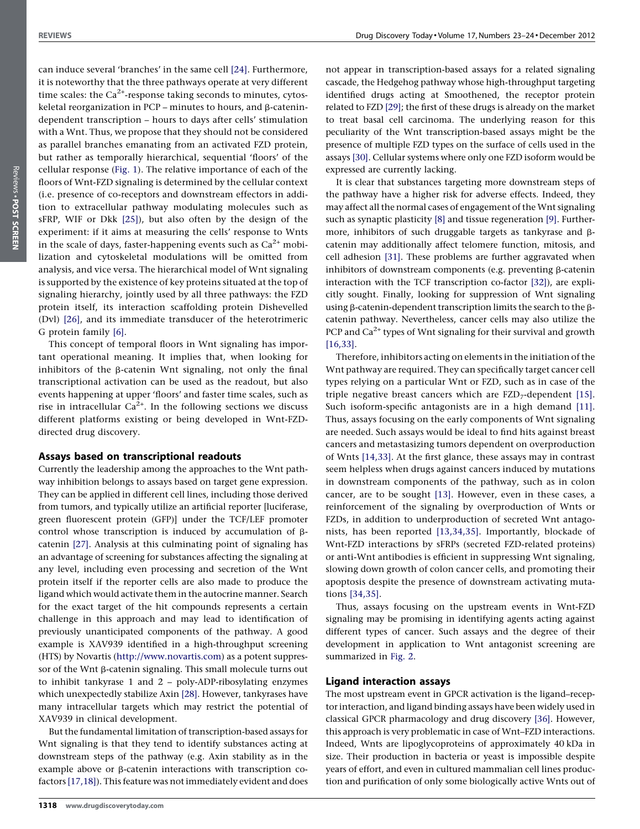can induce several 'branches' in the same cell [\[24\].](#page-5-0) Furthermore, it is noteworthy that the three pathways operate at very different time scales: the  $Ca^{2+}$ -response taking seconds to minutes, cytoskeletal reorganization in PCP – minutes to hours, and  $\beta$ -catenindependent transcription – hours to days after cells' stimulation with a Wnt. Thus, we propose that they should not be considered as parallel branches emanating from an activated FZD protein, but rather as temporally hierarchical, sequential 'floors' of the cellular response ([Fig.](#page-1-0) 1). The relative importance of each of the floors of Wnt-FZD signaling is determined by the cellular context (i.e. presence of co-receptors and downstream effectors in addition to extracellular pathway modulating molecules such as sFRP, WIF or Dkk [\[25\]\)](#page-5-0), but also often by the design of the experiment: if it aims at measuring the cells' response to Wnts in the scale of days, faster-happening events such as  $Ca^{2+}$  mobilization and cytoskeletal modulations will be omitted from analysis, and vice versa. The hierarchical model of Wnt signaling is supported by the existence of key proteins situated at the top of signaling hierarchy, jointly used by all three pathways: the FZD protein itself, its interaction scaffolding protein Dishevelled (Dvl) [\[26\],](#page-5-0) and its immediate transducer of the heterotrimeric G protein family [\[6\].](#page-5-0)

This concept of temporal floors in Wnt signaling has important operational meaning. It implies that, when looking for inhibitors of the  $\beta$ -catenin Wnt signaling, not only the final transcriptional activation can be used as the readout, but also events happening at upper 'floors' and faster time scales, such as rise in intracellular  $Ca^{2+}$ . In the following sections we discuss different platforms existing or being developed in Wnt-FZDdirected drug discovery.

#### Assays based on transcriptional readouts

Currently the leadership among the approaches to the Wnt pathway inhibition belongs to assays based on target gene expression. They can be applied in different cell lines, including those derived from tumors, and typically utilize an artificial reporter [luciferase, green fluorescent protein (GFP)] under the TCF/LEF promoter control whose transcription is induced by accumulation of bcatenin [\[27\].](#page-5-0) Analysis at this culminating point of signaling has an advantage of screening for substances affecting the signaling at any level, including even processing and secretion of the Wnt protein itself if the reporter cells are also made to produce the ligand which would activate them in the autocrine manner. Search for the exact target of the hit compounds represents a certain challenge in this approach and may lead to identification of previously unanticipated components of the pathway. A good example is XAV939 identified in a high-throughput screening (HTS) by Novartis ([http://www.novartis.com\)](http://www.novartis.com/) as a potent suppressor of the Wnt  $\beta$ -catenin signaling. This small molecule turns out to inhibit tankyrase 1 and 2 – poly-ADP-ribosylating enzymes which unexpectedly stabilize Axin [\[28\].](#page-5-0) However, tankyrases have many intracellular targets which may restrict the potential of XAV939 in clinical development.

But the fundamental limitation of transcription-based assays for Wnt signaling is that they tend to identify substances acting at downstream steps of the pathway (e.g. Axin stability as in the example above or  $\beta$ -catenin interactions with transcription co-factors [\[17,18\]](#page-5-0)). This feature was not immediately evident and does

not appear in transcription-based assays for a related signaling cascade, the Hedgehog pathway whose high-throughput targeting identified drugs acting at Smoothened, the receptor protein related to FZD [\[29\]](#page-5-0); the first of these drugs is already on the market to treat basal cell carcinoma. The underlying reason for this peculiarity of the Wnt transcription-based assays might be the presence of multiple FZD types on the surface of cells used in the assays [\[30\].](#page-5-0) Cellular systems where only one FZD isoform would be expressed are currently lacking.

It is clear that substances targeting more downstream steps of the pathway have a higher risk for adverse effects. Indeed, they may affect all the normal cases of engagement of the Wnt signaling such as synaptic plasticity [\[8\]](#page-5-0) and tissue regeneration [\[9\]](#page-5-0). Furthermore, inhibitors of such druggable targets as tankyrase and  $\beta$ catenin may additionally affect telomere function, mitosis, and cell adhesion [\[31\].](#page-6-0) These problems are further aggravated when inhibitors of downstream components (e.g. preventing  $\beta$ -catenin interaction with the TCF transcription co-factor [\[32\]\)](#page-6-0), are explicitly sought. Finally, looking for suppression of Wnt signaling using  $\beta$ -catenin-dependent transcription limits the search to the  $\beta$ catenin pathway. Nevertheless, cancer cells may also utilize the PCP and  $Ca^{2+}$  types of Wnt signaling for their survival and growth [\[16,33\]](#page-5-0).

Therefore, inhibitors acting on elements in the initiation of the Wnt pathway are required. They can specifically target cancer cell types relying on a particular Wnt or FZD, such as in case of the triple negative breast cancers which are  $FZD<sub>7</sub>$ -dependent [\[15\]](#page-5-0). Such isoform-specific antagonists are in a high demand [\[11\]](#page-5-0). Thus, assays focusing on the early components of Wnt signaling are needed. Such assays would be ideal to find hits against breast cancers and metastasizing tumors dependent on overproduction of Wnts [\[14,33\].](#page-5-0) At the first glance, these assays may in contrast seem helpless when drugs against cancers induced by mutations in downstream components of the pathway, such as in colon cancer, are to be sought [\[13\].](#page-5-0) However, even in these cases, a reinforcement of the signaling by overproduction of Wnts or FZDs, in addition to underproduction of secreted Wnt antagonists, has been reported [\[13,34,35\]](#page-5-0). Importantly, blockade of Wnt-FZD interactions by sFRPs (secreted FZD-related proteins) or anti-Wnt antibodies is efficient in suppressing Wnt signaling, slowing down growth of colon cancer cells, and promoting their apoptosis despite the presence of downstream activating mutations [\[34,35\].](#page-6-0)

Thus, assays focusing on the upstream events in Wnt-FZD signaling may be promising in identifying agents acting against different types of cancer. Such assays and the degree of their development in application to Wnt antagonist screening are summarized in [Fig.](#page-3-0) 2.

#### Ligand interaction assays

The most upstream event in GPCR activation is the ligand–receptor interaction, and ligand binding assays have been widely used in classical GPCR pharmacology and drug discovery [\[36\].](#page-6-0) However, this approach is very problematic in case of Wnt–FZD interactions. Indeed, Wnts are lipoglycoproteins of approximately 40 kDa in size. Their production in bacteria or yeast is impossible despite years of effort, and even in cultured mammalian cell lines production and purification of only some biologically active Wnts out of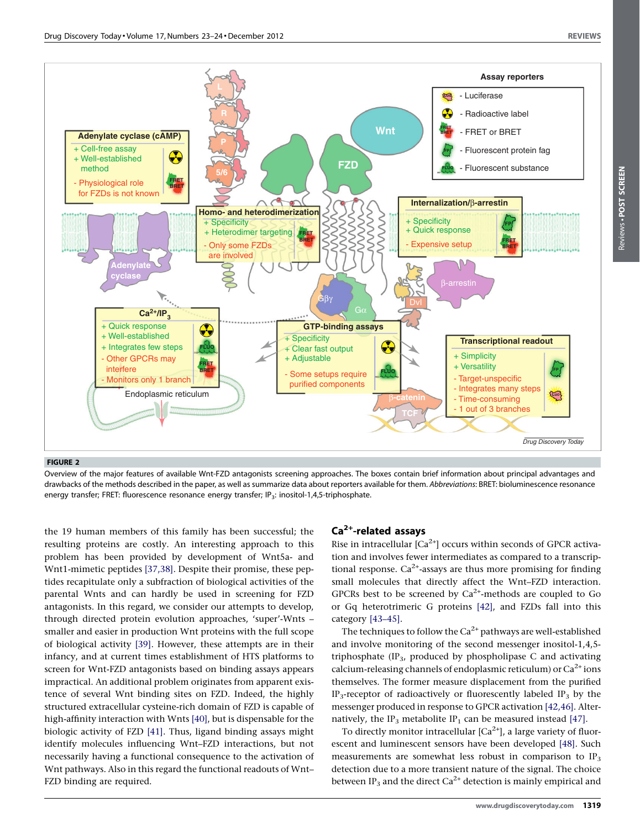<span id="page-3-0"></span>

Overview of the major features of available Wnt-FZD antagonists screening approaches. The boxes contain brief information about principal advantages and drawbacks of the methods described in the paper, as well as summarize data about reporters available for them. Abbreviations: BRET: bioluminescence resonance energy transfer; FRET: fluorescence resonance energy transfer; IP<sub>3</sub>: inositol-1,4,5-triphosphate.

the 19 human members of this family has been successful; the resulting proteins are costly. An interesting approach to this problem has been provided by development of Wnt5a- and Wnt1-mimetic peptides [\[37,38\].](#page-6-0) Despite their promise, these peptides recapitulate only a subfraction of biological activities of the parental Wnts and can hardly be used in screening for FZD antagonists. In this regard, we consider our attempts to develop, through directed protein evolution approaches, 'super'-Wnts – smaller and easier in production Wnt proteins with the full scope of biological activity [\[39\].](#page-6-0) However, these attempts are in their infancy, and at current times establishment of HTS platforms to screen for Wnt-FZD antagonists based on binding assays appears impractical. An additional problem originates from apparent existence of several Wnt binding sites on FZD. Indeed, the highly structured extracellular cysteine-rich domain of FZD is capable of high-affinity interaction with Wnts [\[40\],](#page-6-0) but is dispensable for the biologic activity of FZD [\[41\]](#page-6-0). Thus, ligand binding assays might identify molecules influencing Wnt–FZD interactions, but not necessarily having a functional consequence to the activation of Wnt pathways. Also in this regard the functional readouts of Wnt– FZD binding are required.

#### $Ca<sup>2+</sup>$ -related assays

Rise in intracellular  $[Ca^{2+}]$  occurs within seconds of GPCR activation and involves fewer intermediates as compared to a transcriptional response.  $Ca^{2+}$ -assays are thus more promising for finding small molecules that directly affect the Wnt–FZD interaction. GPCRs best to be screened by  $Ca<sup>2+</sup>$ -methods are coupled to Go or Gq heterotrimeric G proteins [\[42\],](#page-6-0) and FZDs fall into this category [\[43–45\]](#page-6-0).

The techniques to follow the  $Ca^{2+}$  pathways are well-established and involve monitoring of the second messenger inositol-1,4,5 triphosphate  $(IP_3,$  produced by phospholipase C and activating calcium-releasing channels of endoplasmic reticulum) or  $Ca^{2+}$  ions themselves. The former measure displacement from the purified IP<sub>3</sub>-receptor of radioactively or fluorescently labeled IP<sub>3</sub> by the messenger produced in response to GPCR activation [\[42,46\]](#page-6-0). Alter-natively, the IP<sub>3</sub> metabolite IP<sub>1</sub> can be measured instead [\[47\].](#page-6-0)

To directly monitor intracellular  $[Ca^{2+}]$ , a large variety of fluorescent and luminescent sensors have been developed [\[48\].](#page-6-0) Such measurements are somewhat less robust in comparison to  $IP_3$ detection due to a more transient nature of the signal. The choice between IP<sub>3</sub> and the direct Ca<sup>2+</sup> detection is mainly empirical and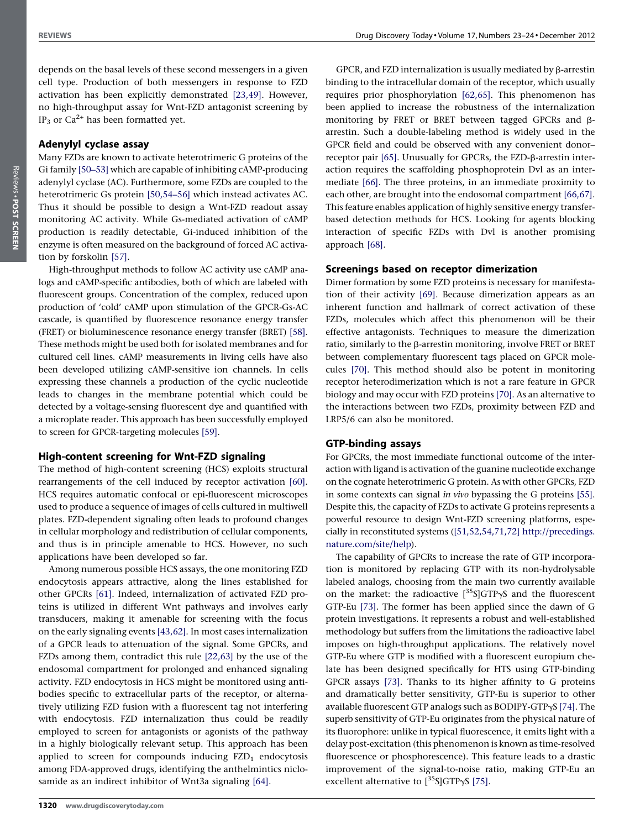depends on the basal levels of these second messengers in a given cell type. Production of both messengers in response to FZD activation has been explicitly demonstrated [\[23,49\]](#page-5-0). However, no high-throughput assay for Wnt-FZD antagonist screening by IP<sub>3</sub> or Ca<sup>2+</sup> has been formatted yet.

#### Adenylyl cyclase assay

Many FZDs are known to activate heterotrimeric G proteins of the Gi family [\[50–53\]](#page-6-0) which are capable of inhibiting cAMP-producing adenylyl cyclase (AC). Furthermore, some FZDs are coupled to the heterotrimeric Gs protein [\[50,54–56\]](#page-6-0) which instead activates AC. Thus it should be possible to design a Wnt-FZD readout assay monitoring AC activity. While Gs-mediated activation of cAMP production is readily detectable, Gi-induced inhibition of the enzyme is often measured on the background of forced AC activation by forskolin [\[57\].](#page-6-0)

High-throughput methods to follow AC activity use cAMP analogs and cAMP-specific antibodies, both of which are labeled with fluorescent groups. Concentration of the complex, reduced upon production of 'cold' cAMP upon stimulation of the GPCR-Gs-AC cascade, is quantified by fluorescence resonance energy transfer (FRET) or bioluminescence resonance energy transfer (BRET) [\[58\]](#page-6-0). These methods might be used both for isolated membranes and for cultured cell lines. cAMP measurements in living cells have also been developed utilizing cAMP-sensitive ion channels. In cells expressing these channels a production of the cyclic nucleotide leads to changes in the membrane potential which could be detected by a voltage-sensing fluorescent dye and quantified with a microplate reader. This approach has been successfully employed to screen for GPCR-targeting molecules [\[59\]](#page-6-0).

#### High-content screening for Wnt-FZD signaling

The method of high-content screening (HCS) exploits structural rearrangements of the cell induced by receptor activation [\[60\]](#page-6-0). HCS requires automatic confocal or epi-fluorescent microscopes used to produce a sequence of images of cells cultured in multiwell plates. FZD-dependent signaling often leads to profound changes in cellular morphology and redistribution of cellular components, and thus is in principle amenable to HCS. However, no such applications have been developed so far.

Among numerous possible HCS assays, the one monitoring FZD endocytosis appears attractive, along the lines established for other GPCRs [\[61\]](#page-6-0). Indeed, internalization of activated FZD proteins is utilized in different Wnt pathways and involves early transducers, making it amenable for screening with the focus on the early signaling events [\[43,62\]](#page-6-0). In most cases internalization of a GPCR leads to attenuation of the signal. Some GPCRs, and FZDs among them, contradict this rule [\[22,63\]](#page-5-0) by the use of the endosomal compartment for prolonged and enhanced signaling activity. FZD endocytosis in HCS might be monitored using antibodies specific to extracellular parts of the receptor, or alternatively utilizing FZD fusion with a fluorescent tag not interfering with endocytosis. FZD internalization thus could be readily employed to screen for antagonists or agonists of the pathway in a highly biologically relevant setup. This approach has been applied to screen for compounds inducing  $FZD_1$  endocytosis among FDA-approved drugs, identifying the anthelmintics niclo-samide as an indirect inhibitor of Wnt3a signaling [\[64\]](#page-6-0).

GPCR, and FZD internalization is usually mediated by  $\beta$ -arrestin binding to the intracellular domain of the receptor, which usually requires prior phosphorylation [\[62,65\].](#page-6-0) This phenomenon has been applied to increase the robustness of the internalization monitoring by FRET or BRET between tagged GPCRs and barrestin. Such a double-labeling method is widely used in the GPCR field and could be observed with any convenient donor– receptor pair [\[65\]](#page-6-0). Unusually for GPCRs, the FZD-β-arrestin interaction requires the scaffolding phosphoprotein Dvl as an intermediate [\[66\]](#page-6-0). The three proteins, in an immediate proximity to each other, are brought into the endosomal compartment [\[66,67\]](#page-6-0). This feature enables application of highly sensitive energy transferbased detection methods for HCS. Looking for agents blocking interaction of specific FZDs with Dvl is another promising approach [\[68\].](#page-6-0)

#### Screenings based on receptor dimerization

Dimer formation by some FZD proteins is necessary for manifestation of their activity [\[69\].](#page-6-0) Because dimerization appears as an inherent function and hallmark of correct activation of these FZDs, molecules which affect this phenomenon will be their effective antagonists. Techniques to measure the dimerization ratio, similarly to the  $\beta$ -arrestin monitoring, involve FRET or BRET between complementary fluorescent tags placed on GPCR molecules [\[70\]](#page-6-0). This method should also be potent in monitoring receptor heterodimerization which is not a rare feature in GPCR biology and may occur with FZD proteins [\[70\]](#page-6-0). As an alternative to the interactions between two FZDs, proximity between FZD and LRP5/6 can also be monitored.

#### GTP-binding assays

For GPCRs, the most immediate functional outcome of the interaction with ligand is activation of the guanine nucleotide exchange on the cognate heterotrimeric G protein. As with other GPCRs, FZD in some contexts can signal in vivo bypassing the G proteins [\[55\]](#page-6-0). Despite this, the capacity of FZDs to activate G proteins represents a powerful resource to design Wnt-FZD screening platforms, especially in reconstituted systems [\(\[51,52,54,71,72\]](#page-6-0) [http://precedings.](http://precedings.nature.com/site/help) [nature.com/site/help\)](http://precedings.nature.com/site/help).

The capability of GPCRs to increase the rate of GTP incorporation is monitored by replacing GTP with its non-hydrolysable labeled analogs, choosing from the main two currently available on the market: the radioactive  $[^{35}S]GTP\gamma S$  and the fluorescent GTP-Eu [\[73\]](#page-6-0). The former has been applied since the dawn of G protein investigations. It represents a robust and well-established methodology but suffers from the limitations the radioactive label imposes on high-throughput applications. The relatively novel GTP-Eu where GTP is modified with a fluorescent europium chelate has been designed specifically for HTS using GTP-binding GPCR assays [\[73\]](#page-6-0). Thanks to its higher affinity to G proteins and dramatically better sensitivity, GTP-Eu is superior to other available fluorescent GTP analogs such as BODIPY-GTPyS [\[74\].](#page-6-0) The superb sensitivity of GTP-Eu originates from the physical nature of its fluorophore: unlike in typical fluorescence, it emits light with a delay post-excitation (this phenomenon is known as time-resolved fluorescence or phosphorescence). This feature leads to a drastic improvement of the signal-to-noise ratio, making GTP-Eu an excellent alternative to  $[^{35}S]GTP\gamma S$  [\[75\]](#page-6-0).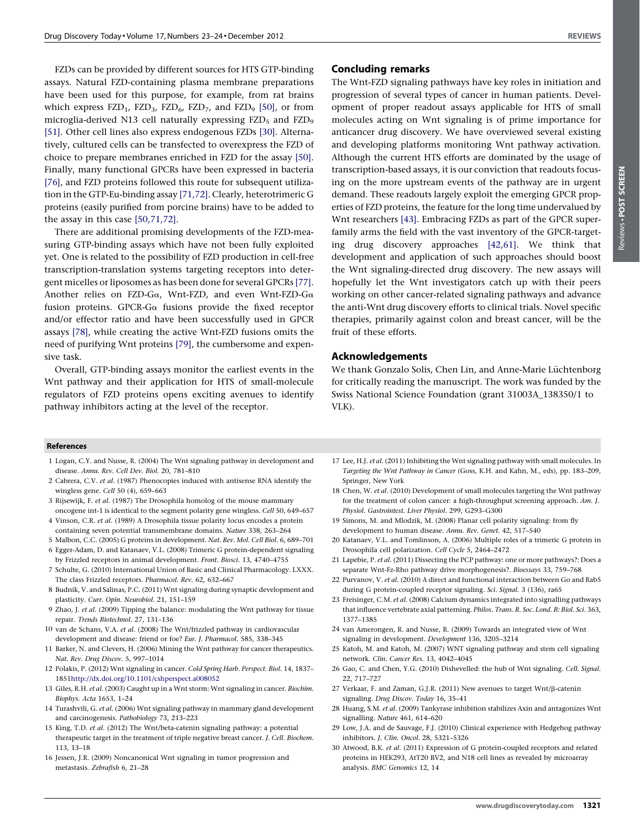<span id="page-5-0"></span>FZDs can be provided by different sources for HTS GTP-binding assays. Natural FZD-containing plasma membrane preparations have been used for this purpose, for example, from rat brains which express  $FZD_1$ ,  $FZD_3$ ,  $FZD_6$ ,  $FZD_7$ , and  $FZD_9$  [\[50\]](#page-6-0), or from microglia-derived N13 cell naturally expressing  $FZD<sub>5</sub>$  and  $FZD<sub>9</sub>$ [\[51\].](#page-6-0) Other cell lines also express endogenous FZDs [30]. Alternatively, cultured cells can be transfected to overexpress the FZD of choice to prepare membranes enriched in FZD for the assay [\[50\].](#page-6-0) Finally, many functional GPCRs have been expressed in bacteria [\[76\],](#page-6-0) and FZD proteins followed this route for subsequent utilization in the GTP-Eu-binding assay [\[71,72\]](#page-6-0). Clearly, heterotrimeric G proteins (easily purified from porcine brains) have to be added to the assay in this case [\[50,71,72\].](#page-6-0)

There are additional promising developments of the FZD-measuring GTP-binding assays which have not been fully exploited yet. One is related to the possibility of FZD production in cell-free transcription-translation systems targeting receptors into detergent micelles or liposomes as has been done for several GPCRs [\[77\].](#page-6-0) Another relies on FZD-G $\alpha$ , Wnt-FZD, and even Wnt-FZD-G $\alpha$ fusion proteins. GPCR-Ga fusions provide the fixed receptor and/or effector ratio and have been successfully used in GPCR assays [\[78\]](#page-6-0), while creating the active Wnt-FZD fusions omits the need of purifying Wnt proteins [\[79\]](#page-6-0), the cumbersome and expensive task.

Overall, GTP-binding assays monitor the earliest events in the Wnt pathway and their application for HTS of small-molecule regulators of FZD proteins opens exciting avenues to identify pathway inhibitors acting at the level of the receptor.

### Concluding remarks

The Wnt-FZD signaling pathways have key roles in initiation and progression of several types of cancer in human patients. Development of proper readout assays applicable for HTS of small molecules acting on Wnt signaling is of prime importance for anticancer drug discovery. We have overviewed several existing and developing platforms monitoring Wnt pathway activation. Although the current HTS efforts are dominated by the usage of transcription-based assays, it is our conviction that readouts focusing on the more upstream events of the pathway are in urgent demand. These readouts largely exploit the emerging GPCR properties of FZD proteins, the feature for the long time undervalued by Wnt researchers [\[43\].](#page-6-0) Embracing FZDs as part of the GPCR superfamily arms the field with the vast inventory of the GPCR-targeting drug discovery approaches [\[42,61\]](#page-6-0). We think that development and application of such approaches should boost the Wnt signaling-directed drug discovery. The new assays will hopefully let the Wnt investigators catch up with their peers working on other cancer-related signaling pathways and advance the anti-Wnt drug discovery efforts to clinical trials. Novel specific therapies, primarily against colon and breast cancer, will be the fruit of these efforts.

#### Acknowledgements

We thank Gonzalo Solis, Chen Lin, and Anne-Marie Lüchtenborg for critically reading the manuscript. The work was funded by the Swiss National Science Foundation (grant 31003A\_138350/1 to VLK).

#### References

- 1 Logan, C.Y. and Nusse, R. (2004) The Wnt signaling pathway in development and disease. Annu. Rev. Cell Dev. Biol. 20, 781–810
- 2 Cabrera, C.V. et al. (1987) Phenocopies induced with antisense RNA identify the wingless gene. Cell 50 (4), 659–663
- 3 Rijsewijk, F. et al. (1987) The Drosophila homolog of the mouse mammary oncogene int-1 is identical to the segment polarity gene wingless. Cell 50, 649–657
- 4 Vinson, C.R. et al. (1989) A Drosophila tissue polarity locus encodes a protein containing seven potential transmembrane domains. Nature 338, 263–264
- 5 Malbon, C.C. (2005) G proteins in development. Nat. Rev. Mol. Cell Biol. 6, 689–701
- 6 Egger-Adam, D. and Katanaev, V.L. (2008) Trimeric G protein-dependent signaling by Frizzled receptors in animal development. Front. Biosci. 13, 4740–4755
- 7 Schulte, G. (2010) International Union of Basic and Clinical Pharmacology. LXXX. The class Frizzled receptors. Pharmacol. Rev. 62, 632–667
- 8 Budnik, V. and Salinas, P.C. (2011) Wnt signaling during synaptic development and plasticity. Curr. Opin. Neurobiol. 21, 151–159
- 9 Zhao, J. et al. (2009) Tipping the balance: modulating the Wnt pathway for tissue repair. Trends Biotechnol. 27, 131–136
- 10 van de Schans, V.A. et al. (2008) The Wnt/frizzled pathway in cardiovascular development and disease: friend or foe? Eur. J. Pharmacol. 585, 338–345
- 11 Barker, N. and Clevers, H. (2006) Mining the Wnt pathway for cancer therapeutics. Nat. Rev. Drug Discov. 5, 997–1014
- 12 Polakis, P. (2012) Wnt signaling in cancer. Cold Spring Harb. Perspect. Biol. 14, 1837– 1851<http://dx.doi.org/10.1101/cshperspect.a008052>
- 13 Giles, R.H. et al. (2003) Caught up in a Wnt storm: Wnt signaling in cancer. Biochim. Biophys. Acta 1653, 1–24
- 14 Turashvili, G. et al. (2006) Wnt signaling pathway in mammary gland development and carcinogenesis. Pathobiology 73, 213–223
- 15 King, T.D. et al. (2012) The Wnt/beta-catenin signaling pathway: a potential therapeutic target in the treatment of triple negative breast cancer. J. Cell. Biochem. 113, 13–18
- 16 Jessen, J.R. (2009) Noncanonical Wnt signaling in tumor progression and metastasis. Zebrafish 6, 21–28
- 17 Lee, H.J. et al. (2011) Inhibiting the Wnt signaling pathway with small molecules. In Targeting the Wnt Pathway in Cancer (Goss, K.H. and Kahn, M., eds), pp. 183–209, Springer, New York
- 18 Chen, W. et al. (2010) Development of small molecules targeting the Wnt pathway for the treatment of colon cancer: a high-throughput screening approach. Am. J. Physiol. Gastrointest. Liver Physiol. 299, G293–G300
- 19 Simons, M. and Mlodzik, M. (2008) Planar cell polarity signaling: from fly development to human disease. Annu. Rev. Genet. 42, 517–540
- 20 Katanaev, V.L. and Tomlinson, A. (2006) Multiple roles of a trimeric G protein in Drosophila cell polarization. Cell Cycle 5, 2464–2472
- 21 Lapebie, P. et al. (2011) Dissecting the PCP pathway: one or more pathways?: Does a separate Wnt-Fz-Rho pathway drive morphogenesis?. Bioessays 33, 759-768
- 22 Purvanov, V. et al. (2010) A direct and functional interaction between Go and Rab5 during G protein-coupled receptor signaling. Sci. Signal. 3 (136), ra65
- 23 Freisinger, C.M. et al. (2008) Calcium dynamics integrated into signalling pathways that influence vertebrate axial patterning. Philos. Trans. R. Soc. Lond. B: Biol. Sci. 363, 1377–1385
- 24 van Amerongen, R. and Nusse, R. (2009) Towards an integrated view of Wnt signaling in development. Development 136, 3205–3214
- 25 Katoh, M. and Katoh, M. (2007) WNT signaling pathway and stem cell signaling network. Clin. Cancer Res. 13, 4042–4045
- 26 Gao, C. and Chen, Y.G. (2010) Dishevelled: the hub of Wnt signaling. Cell. Signal. 22, 717–727
- 27 Verkaar, F. and Zaman, G.J.R. (2011) New avenues to target Wnt/ $\beta$ -catenin signaling. Drug Discov. Today 16, 35–41
- 28 Huang, S.M. et al. (2009) Tankyrase inhibition stabilizes Axin and antagonizes Wnt signalling. Nature 461, 614–620
- 29 Low, J.A. and de Sauvage, F.J. (2010) Clinical experience with Hedgehog pathway inhibitors. J. Clin. Oncol. 28, 5321–5326
- 30 Atwood, B.K. et al. (2011) Expression of G protein-coupled receptors and related proteins in HEK293, AtT20 BV2, and N18 cell lines as revealed by microarray analysis. BMC Genomics 12, 14